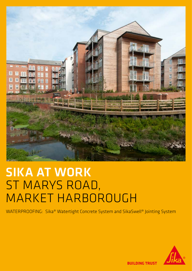

## SIKA AT WORK ST MARYS ROAD, MARKET HARBOROUGH

WATERPROOFING: Sika® Watertight Concrete System and SikaSwell® Jointing System



**BUILDING TRUST**